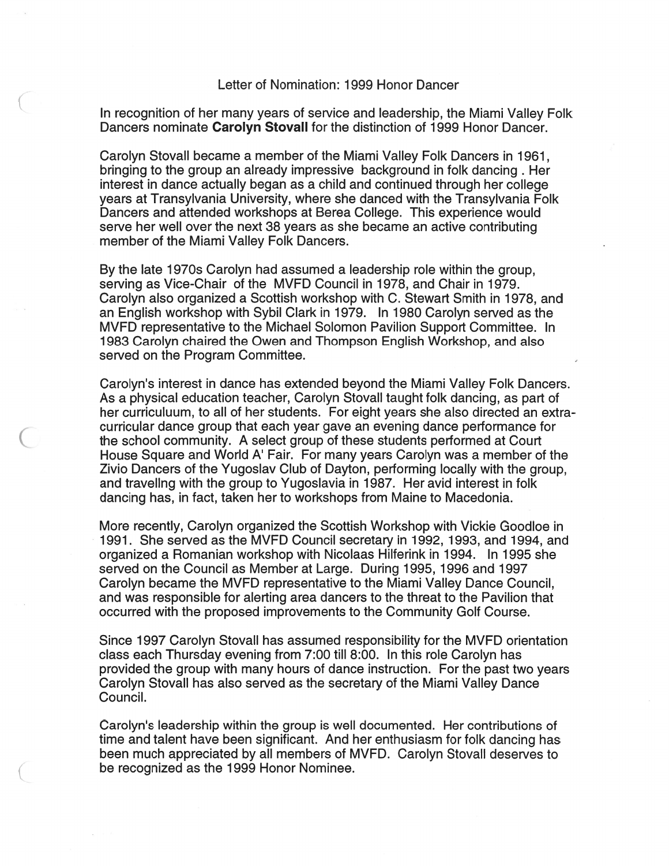## Letter of Nomination: 1999 Honor Dancer

In recognition of her many years of service and leadership, the Miami Valley Folk Dancers nominate **Carolyn Stovall** for the distinction of 1999 Honor Dancer.

Carolyn Stovall became a member of the Miami Valley Folk Dancers in 1961, bringing to the group an already impressive background in folk dancing . Her interest in dance actually began as a child and continued through her college years at Transylvania University, where she danced with the Transylvania Folk Dancers and attended workshops at Berea College. This experience would serve her well over the next 38 years as she became an active contributing member of the Miami Valley Folk Dancers.

By the late 1970s Carolyn had assumed a leadership role within the group, serving as Vice-Chair of the MVFD Council in 1978, and Chair in 1979. Carolyn also organized a Scottish workshop with C. Stewart Smith in 1978, and an English workshop with Sybil Clark in 1979. In 1980 Carolyn served as the MVFD representative to the Michael Solomon Pavilion Support Committee. In 1983 Carolyn chaired the Owen and Thompson English Workshop, and also served on the Program Committee.

Carolyn's interest in dance has extended beyond the Miami Valley Folk Dancers. As a physical education teacher, Carolyn Stovall taught folk dancing, as part of her curriculuum, to all of her students. For eight years she also directed an extracurricular dance group that each year gave an evening dance performance for the school community. A select group of these students performed at Court House Square and World A' Fair. For many years Carolyn was a member of the Zivio Dancers of the Yugoslav Club of Dayton, performing locally with the group, and traveling with the group to Yugoslavia in 1987. Her avid interest in folk dancing has, in fact, taken her to workshops from Maine to Macedonia.

More recently, Carolyn organized the Scottish Workshop with Vickie Goodloe in 1991. She served as the MVFD Council secretary in 1992,1993, and 1994, and organized a Romanian workshop with Nicolaas Hilferink in 1994. In 1995 she served on the Council as Member at Large. During 1995,1996 and 1997 Carolyn became the MVFD representative to the Miami Valley Dance Council, and was responsible for alerting area dancers to the threat to the Pavilion that occurred with the proposed improvements to the Community Golf Course.

Since 1997 Carolyn Stovall has assumed responsibility for the MVFD orientation class each Thursday evening from 7:00 till 8:OO. In this role Carolyn has provided the group with many hours of dance instruction. For the past two years Carolyn Stovall has also served as the secretary of the Miami Valley Dance Council.

Carolyn's leadership within the group is well documented. Her contributions of time and talent have been significant. And her enthusiasm for folk dancing has been much appreciated by all members of MVFD. Carolyn Stovall deserves to be recognized as the 1999 Honor Nominee.